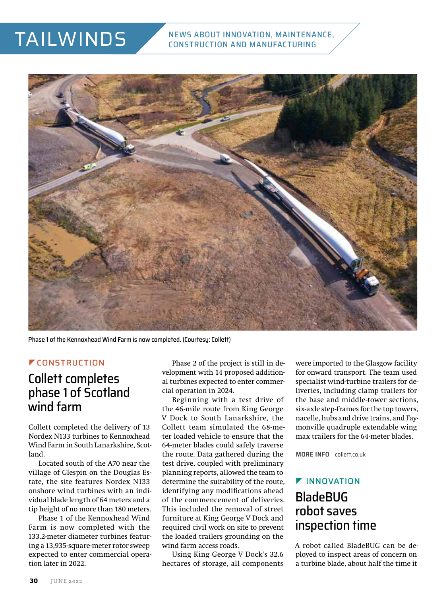# TAILWINDS



Phase 1 of the Kennoxhead Wind Farm is now completed. (Courtesy: Collett)

#### **FCONSTRUCTION**

### Collett completes phase 1 of Scotland wind farm

Collett completed the delivery of 13 Nordex N133 turbines to Kennoxhead Wind Farm in South Lanarkshire, Scotland.

Located south of the A70 near the village of Glespin on the Douglas Estate, the site features Nordex N133 onshore wind turbines with an individual blade length of 64 meters and a tip height of no more than 180 meters.

Phase 1 of the Kennoxhead Wind Farm is now completed with the 133.2-meter diameter turbines featuring a 13,935-square-meter rotor sweep expected to enter commercial operation later in 2022.

Phase 2 of the project is still in development with 14 proposed additional turbines expected to enter commercial operation in 2024.

Beginning with a test drive of the 46-mile route from King George V Dock to South Lanarkshire, the Collett team simulated the 68-meter loaded vehicle to ensure that the 64-meter blades could safely traverse the route. Data gathered during the test drive, coupled with preliminary planning reports, allowed the team to determine the suitability of the route, identifying any modifications ahead of the commencement of deliveries. This included the removal of street furniture at King George V Dock and required civil work on site to prevent the loaded trailers grounding on the wind farm access roads.

Using King George V Dock's 32.6 hectares of storage, all components

were imported to the Glasgow facility for onward transport. The team used specialist wind-turbine trailers for deliveries, including clamp trailers for the base and middle-tower sections, six-axle step-frames for the top towers, nacelle, hubs and drive trains, and Faymonville quadruple extendable wing max trailers for the 64-meter blades.

**MORE INFO** [collett.co.uk](http://collett.co.uk)

### **F** INNOVATION BladeBUG robot saves inspection time

A robot called BladeBUG can be deployed to inspect areas of concern on a turbine blade, about half the time it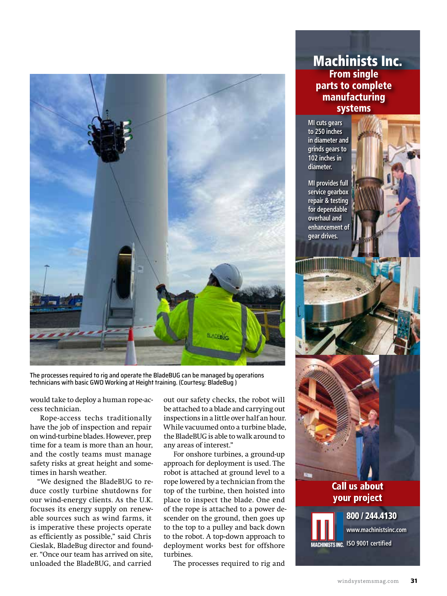

The processes required to rig and operate the BladeBUG can be managed by operations technicians with basic GWO Working at Height training. (Courtesy: BladeBug )

would take to deploy a human rope-access technician.

Rope-access techs traditionally have the job of inspection and repair on wind-turbine blades. However, prep time for a team is more than an hour, and the costly teams must manage safety risks at great height and sometimes in harsh weather.

"We designed the BladeBUG to reduce costly turbine shutdowns for our wind-energy clients. As the U.K. focuses its energy supply on renewable sources such as wind farms, it is imperative these projects operate as efficiently as possible," said Chris Cieslak, BladeBug director and founder. "Once our team has arrived on site, unloaded the BladeBUG, and carried

out our safety checks, the robot will be attached to a blade and carrying out inspections in a little over half an hour. While vacuumed onto a turbine blade, the BladeBUG is able to walk around to any areas of interest."

For onshore turbines, a ground-up approach for deployment is used. The robot is attached at ground level to a rope lowered by a technician from the top of the turbine, then hoisted into place to inspect the blade. One end of the rope is attached to a power descender on the ground, then goes up to the top to a pulley and back down to the robot. A top-down approach to deployment works best for offshore turbines.

The processes required to rig and

#### Machinists Inc. From single parts to complete manufacturing systems

**MI cuts gears to 250 inches in diameter and grinds gears to 102 inches in diameter.**

**MI provides full service gearbox repair & testing for dependable overhaul and enhancement of gear drives.**



800 / 244.4130

**[www.machinistsinc.com](http://www.machinistsinc.com)**

**MACHINISTS INC. ISO 9001 certified**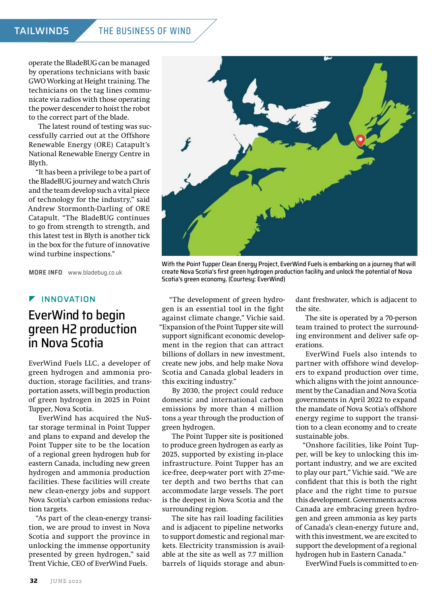#### TAILWINDS THE BUSINESS OF WIND

operate the BladeBUG can be managed by operations technicians with basic GWO Working at Height training. The technicians on the tag lines communicate via radios with those operating the power descender to hoist the robot to the correct part of the blade.

The latest round of testing was successfully carried out at the Offshore Renewable Energy (ORE) Catapult's National Renewable Energy Centre in Blyth.

"It has been a privilege to be a part of the BladeBUG journey and watch Chris and the team develop such a vital piece of technology for the industry," said Andrew Stormonth-Darling of ORE Catapult. "The BladeBUG continues to go from strength to strength, and this latest test in Blyth is another tick in the box for the future of innovative wind turbine inspections."

**MORE INFO** [www.bladebug.co.uk](http://www.bladebug.co.uk) 

#### **F** INNOVATION

### EverWind to begin green H2 production in Nova Scotia

EverWind Fuels LLC, a developer of green hydrogen and ammonia production, storage facilities, and transportation assets, will begin production of green hydrogen in 2025 in Point Tupper, Nova Scotia.

EverWind has acquired the NuStar storage terminal in Point Tupper and plans to expand and develop the Point Tupper site to be the location of a regional green hydrogen hub for eastern Canada, including new green hydrogen and ammonia production facilities. These facilities will create new clean-energy jobs and support Nova Scotia's carbon emissions reduction targets.

"As part of the clean-energy transition, we are proud to invest in Nova Scotia and support the province in unlocking the immense opportunity presented by green hydrogen," said Trent Vichie, CEO of EverWind Fuels.



With the Point Tupper Clean Energy Project, EverWind Fuels is embarking on a journey that will create Nova Scotia's first green hydrogen production facility and unlock the potential of Nova Scotia's green economy. (Courtesy: EverWind)

"The development of green hydrogen is an essential tool in the fight against climate change," Vichie said. "Expansion of the Point Tupper site will support significant economic development in the region that can attract billions of dollars in new investment, create new jobs, and help make Nova Scotia and Canada global leaders in this exciting industry."

By 2030, the project could reduce domestic and international carbon emissions by more than 4 million tons a year through the production of green hydrogen.

The Point Tupper site is positioned to produce green hydrogen as early as 2025, supported by existing in-place infrastructure. Point Tupper has an ice-free, deep-water port with 27-meter depth and two berths that can accommodate large vessels. The port is the deepest in Nova Scotia and the surrounding region.

The site has rail loading facilities and is adjacent to pipeline networks to support domestic and regional markets. Electricity transmission is available at the site as well as 7.7 million barrels of liquids storage and abun-

dant freshwater, which is adjacent to the site.

The site is operated by a 70-person team trained to protect the surrounding environment and deliver safe operations.

EverWind Fuels also intends to partner with offshore wind developers to expand production over time, which aligns with the joint announcement by the Canadian and Nova Scotia governments in April 2022 to expand the mandate of Nova Scotia's offshore energy regime to support the transition to a clean economy and to create sustainable jobs.

"Onshore facilities, like Point Tupper, will be key to unlocking this important industry, and we are excited to play our part," Vichie said. "We are confident that this is both the right place and the right time to pursue this development. Governments across Canada are embracing green hydrogen and green ammonia as key parts of Canada's clean-energy future and, with this investment, we are excited to support the development of a regional hydrogen hub in Eastern Canada."

EverWind Fuels is committed to en-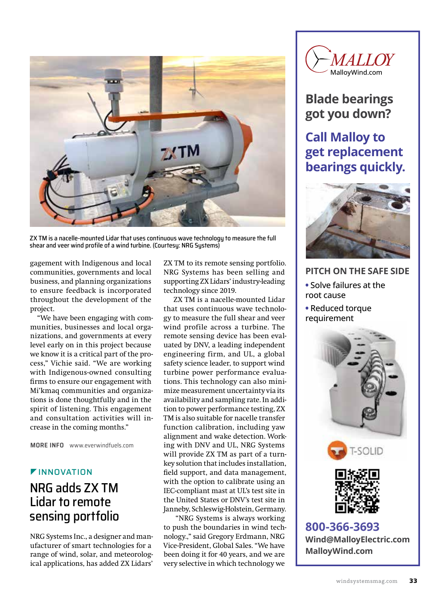

ZX TM is a nacelle-mounted Lidar that uses continuous wave technology to measure the full shear and veer wind profile of a wind turbine. (Courtesy: NRG Systems)

gagement with Indigenous and local communities, governments and local business, and planning organizations to ensure feedback is incorporated throughout the development of the project.

"We have been engaging with communities, businesses and local organizations, and governments at every level early on in this project because we know it is a critical part of the process," Vichie said. "We are working with Indigenous-owned consulting firms to ensure our engagement with Mi'kmaq communities and organizations is done thoughtfully and in the spirit of listening. This engagement and consultation activities will increase in the coming months."

**MORE INFO** [www.everwindfuels.com](http://www.everwindfuels.com) 

#### **FINNOVATION**

### NRG adds ZX TM Lidar to remote sensing portfolio

NRG Systems Inc., a designer and manufacturer of smart technologies for a range of wind, solar, and meteorological applications, has added ZX Lidars'

ZX TM to its remote sensing portfolio. NRG Systems has been selling and supporting ZX Lidars' industry-leading technology since 2019.

ZX TM is a nacelle-mounted Lidar that uses continuous wave technology to measure the full shear and veer wind profile across a turbine. The remote sensing device has been evaluated by DNV, a leading independent engineering firm, and UL, a global safety science leader, to support wind turbine power performance evaluations. This technology can also minimize measurement uncertainty via its availability and sampling rate. In addition to power performance testing, ZX TM is also suitable for nacelle transfer function calibration, including yaw alignment and wake detection. Working with DNV and UL, NRG Systems will provide ZX TM as part of a turnkey solution that includes installation, field support, and data management, with the option to calibrate using an IEC-compliant mast at UL's test site in the United States or DNV's test site in Janneby, Schleswig-Holstein, Germany.

 "NRG Systems is always working to push the boundaries in wind technology.," said Gregory Erdmann, NRG Vice-President, Global Sales. "We have been doing it for 40 years, and we are very selective in which technology we



## **Blade bearings got you down?**

### **Call Malloy to get replacement bearings quickly.**



- **PITCH ON THE SAFE SIDE •** Solve failures at the root cause
- **•** Reduced torque requirement







**800-366-3693 [Wind@MalloyElectric.com](mailto:Wind@MalloyElectric.com?subject=Referred by Wind Systems) [MalloyWind.com](http://malloywind.com)**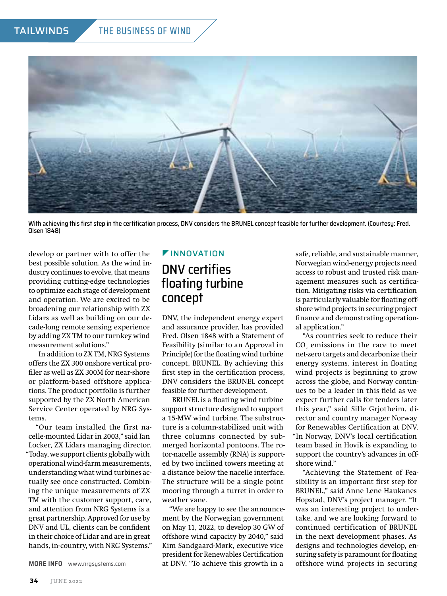

With achieving this first step in the certification process, DNV considers the BRUNEL concept feasible for further development. (Courtesy: Fred. Olsen 1848)

develop or partner with to offer the best possible solution. As the wind industry continues to evolve, that means providing cutting-edge technologies to optimize each stage of development and operation. We are excited to be broadening our relationship with ZX Lidars as well as building on our decade-long remote sensing experience by adding ZX TM to our turnkey wind measurement solutions."

In addition to ZX TM, NRG Systems offers the ZX 300 onshore vertical profiler as well as ZX 300M for near-shore or platform-based offshore applications. The product portfolio is further supported by the ZX North American Service Center operated by NRG Systems.

"Our team installed the first nacelle-mounted Lidar in 2003," said Ian Locker, ZX Lidars managing director. "Today, we support clients globally with operational wind-farm measurements, understanding what wind turbines actually see once constructed. Combining the unique measurements of ZX TM with the customer support, care, and attention from NRG Systems is a great partnership. Approved for use by DNV and UL, clients can be confident in their choice of Lidar and are in great hands, in-country, with NRG Systems."

**MORE INFO** [www.nrgsystems.com](http://www.nrgsystems.com)

#### **FINNOVATION**

### DNV certifies floating turbine concept

DNV, the independent energy expert and assurance provider, has provided Fred. Olsen 1848 with a Statement of Feasibility (similar to an Approval in Principle) for the floating wind turbine concept, BRUNEL. By achieving this first step in the certification process, DNV considers the BRUNEL concept feasible for further development.

BRUNEL is a floating wind turbine support structure designed to support a 15-MW wind turbine. The substructure is a column-stabilized unit with three columns connected by submerged horizontal pontoons. The rotor-nacelle assembly (RNA) is supported by two inclined towers meeting at a distance below the nacelle interface. The structure will be a single point mooring through a turret in order to weather vane.

"We are happy to see the announcement by the Norwegian government on May 11, 2022, to develop 30 GW of offshore wind capacity by 2040," said Kim Sandgaard-Mørk, executive vice president for Renewables Certification at DNV. "To achieve this growth in a

safe, reliable, and sustainable manner, Norwegian wind-energy projects need access to robust and trusted risk management measures such as certification. Mitigating risks via certification is particularly valuable for floating offshore wind projects in securing project finance and demonstrating operational application."

"As countries seek to reduce their  $\mathrm{CO}_2$  emissions in the race to meet net-zero targets and decarbonize their energy systems, interest in floating wind projects is beginning to grow across the globe, and Norway continues to be a leader in this field as we expect further calls for tenders later this year," said Sille Grjotheim, director and country manager Norway for Renewables Certification at DNV. "In Norway, DNV's local certification team based in Hovik is expanding to support the country's advances in offshore wind."

"Achieving the Statement of Feasibility is an important first step for BRUNEL," said Anne Lene Haukanes Hopstad, DNV's project manager. "It was an interesting project to undertake, and we are looking forward to continued certification of BRUNEL in the next development phases. As designs and technologies develop, ensuring safety is paramount for floating offshore wind projects in securing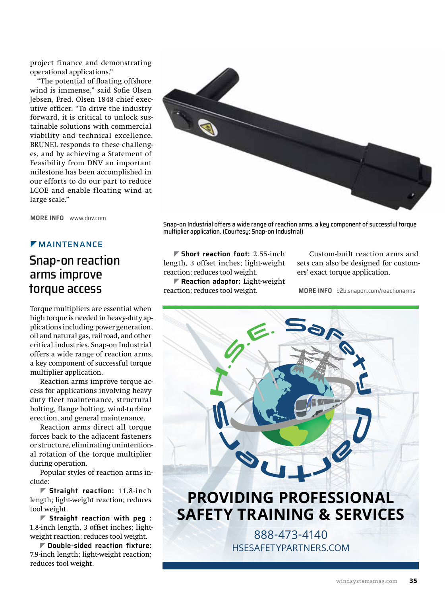project finance and demonstrating operational applications."

"The potential of floating offshore wind is immense," said Sofie Olsen Jebsen, Fred. Olsen 1848 chief executive officer. "To drive the industry forward, it is critical to unlock sustainable solutions with commercial viability and technical excellence. BRUNEL responds to these challenges, and by achieving a Statement of Feasibility from DNV an important milestone has been accomplished in our efforts to do our part to reduce LCOE and enable floating wind at large scale."

**MORE INFO** [www.dnv.com](http://www.dnv.com)

#### **MAINTENANCE**

### Snap-on reaction arms improve torque access

Torque multipliers are essential when high torque is needed in heavy-duty applications including power generation, oil and natural gas, railroad, and other critical industries. Snap-on Industrial offers a wide range of reaction arms, a key component of successful torque multiplier application.

Reaction arms improve torque access for applications involving heavy duty fleet maintenance, structural bolting, flange bolting, wind-turbine erection, and general maintenance.

Reaction arms direct all torque forces back to the adjacent fasteners or structure, eliminating unintentional rotation of the torque multiplier during operation.

Popular styles of reaction arms include:

] **Straight reaction:** 11.8-inch length; light-weight reaction; reduces tool weight.

] **Straight reaction with peg :** 1.8-inch length, 3 offset inches; lightweight reaction; reduces tool weight.

] **Double-sided reaction fixture:** 7.9-inch length; light-weight reaction; reduces tool weight.



Snap-on Industrial offers a wide range of reaction arms, a key component of successful torque multiplier application. (Courtesy: Snap-on Industrial)

] **Short reaction foot:** 2.55-inch length, 3 offset inches; light-weight reaction; reduces tool weight.

] **Reaction adaptor:** Light-weight reaction; reduces tool weight.

 Custom-built reaction arms and sets can also be designed for customers' exact torque application.

 **MORE INFO** [b2b.snapon.com/reactionarms](http://b2b.snapon.com/reactionsarms)

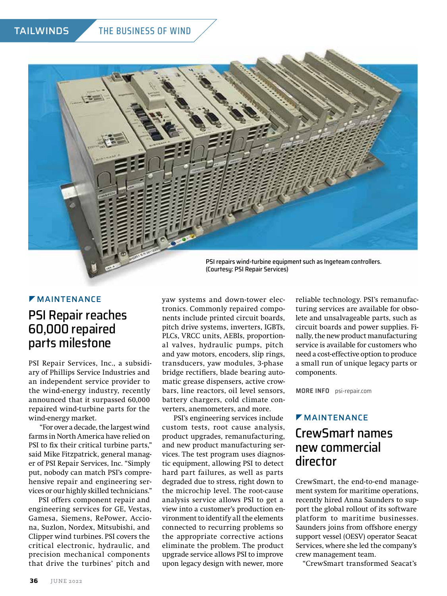#### TAILWINDS THE BUSINESS OF WIND



PSI repairs wind-turbine equipment such as Ingeteam controllers. (Courtesy: PSI Repair Services)

#### **MAINTENANCE**

### PSI Repair reaches 60,000 repaired parts milestone

PSI Repair Services, Inc., a subsidiary of Phillips Service Industries and an independent service provider to the wind-energy industry, recently announced that it surpassed 60,000 repaired wind-turbine parts for the wind-energy market.

 "For over a decade, the largest wind farms in North America have relied on PSI to fix their critical turbine parts," said Mike Fitzpatrick, general manager of PSI Repair Services, Inc. "Simply put, nobody can match PSI's comprehensive repair and engineering services or our highly skilled technicians."

PSI offers component repair and engineering services for GE, Vestas, Gamesa, Siemens, RePower, Acciona, Suzlon, Nordex, Mitsubishi, and Clipper wind turbines. PSI covers the critical electronic, hydraulic, and precision mechanical components that drive the turbines' pitch and

yaw systems and down-tower electronics. Commonly repaired components include printed circuit boards, pitch drive systems, inverters, IGBTs, PLCs, VRCC units, AEBIs, proportional valves, hydraulic pumps, pitch and yaw motors, encoders, slip rings, transducers, yaw modules, 3-phase bridge rectifiers, blade bearing automatic grease dispensers, active crowbars, line reactors, oil level sensors, battery chargers, cold climate converters, anemometers, and more.

 PSI's engineering services include custom tests, root cause analysis, product upgrades, remanufacturing, and new product manufacturing services. The test program uses diagnostic equipment, allowing PSI to detect hard part failures, as well as parts degraded due to stress, right down to the microchip level. The root-cause analysis service allows PSI to get a view into a customer's production environment to identify all the elements connected to recurring problems so the appropriate corrective actions eliminate the problem. The product upgrade service allows PSI to improve upon legacy design with newer, more

reliable technology. PSI's remanufacturing services are available for obsolete and unsalvageable parts, such as circuit boards and power supplies. Finally, the new product manufacturing service is available for customers who need a cost-effective option to produce a small run of unique legacy parts or components.

**MORE INFO** [psi-repair.com](http://psi-repair.com)

### **MAINTENANCE**

### CrewSmart names new commercial director

CrewSmart, the end-to-end management system for maritime operations, recently hired Anna Saunders to support the global rollout of its software platform to maritime businesses. Saunders joins from offshore energy support vessel (OESV) operator Seacat Services, where she led the company's crew management team.

"CrewSmart transformed Seacat's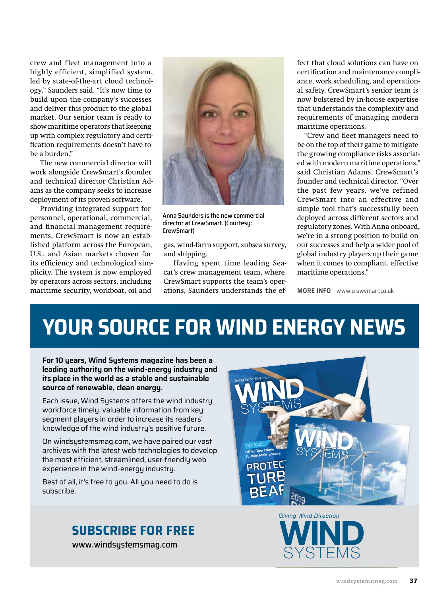crew and fleet management into a highly efficient, simplified system, led by state-of-the-art cloud technology," Saunders said. "It's now time to build upon the company's successes and deliver this product to the global market. Our senior team is ready to show maritime operators that keeping up with complex regulatory and certification requirements doesn't have to be a burden."

The new commercial director will work alongside CrewSmart's founder and technical director Christian Adams as the company seeks to increase deployment of its proven software.

Providing integrated support for personnel, operational, commercial, and financial management requirements, CrewSmart is now an established platform across the European, U.S., and Asian markets chosen for its efficiency and technological simplicity. The system is now employed by operators across sectors, including maritime security, workboat, oil and



Anna Saunders is the new commercial director at CrewSmart. (Courtesy: CrewSmart)

gas, wind-farm support, subsea survey, and shipping.

Having spent time leading Seacat's crew management team, where CrewSmart supports the team's operations, Saunders understands the effect that cloud solutions can have on certification and maintenance compliance, work scheduling, and operational safety. CrewSmart's senior team is now bolstered by in-house expertise that understands the complexity and requirements of managing modern maritime operations.

"Crew and fleet managers need to be on the top of their game to mitigate the growing compliance risks associated with modern maritime operations," said Christian Adams, CrewSmart's founder and technical director. "Over the past few years, we've refined CrewSmart into an effective and simple tool that's successfully been deployed across different sectors and regulatory zones. With Anna onboard, we're in a strong position to build on our successes and help a wider pool of global industry players up their game when it comes to compliant, effective maritime operations."

**MORE INFO** [www.crewsmart.co.uk](http://www.crewsmart.co.uk)

# **YOUR SOURCE FOR WIND ENERGY NEWS**

**For 10 years, Wind Systems magazine has been a leading authority on the wind-energy industry and its place in the world as a stable and sustainable source of renewable, clean energy.** 

Each issue, Wind Systems offers the wind industry workforce timely, valuable information from key segment players in order to increase its readers' knowledge of the wind industry's positive future.

On windsystemsmag.com, we have paired our vast archives with the latest web technologies to develop the most efficient, streamlined, user-friendly web experience in the wind-energy industry.

Best of all, it's free to you. All you need to do is subscribe.

#### **SUBSCRIBE FOR FREE**

[www.windsystemsmag.com](http://www.windsystemsmag.com)